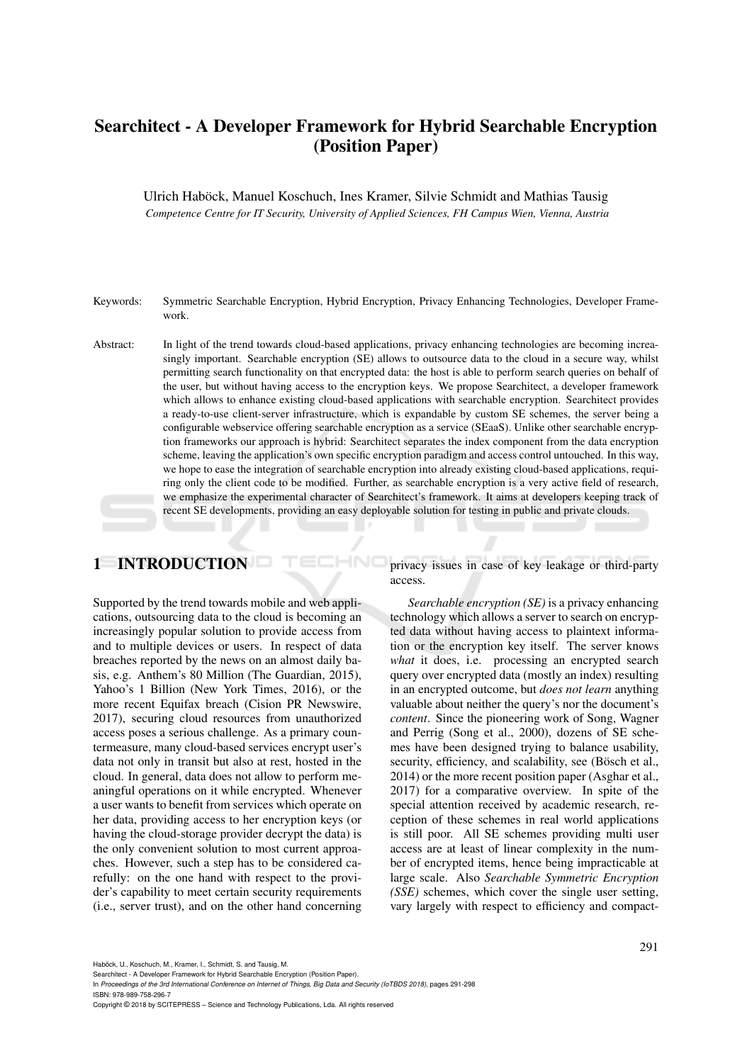## Searchitect - A Developer Framework for Hybrid Searchable Encryption (Position Paper)

Ulrich Habock, Manuel Koschuch, Ines Kramer, Silvie Schmidt and Mathias Tausig ¨ *Competence Centre for IT Security, University of Applied Sciences, FH Campus Wien, Vienna, Austria*

Keywords: Symmetric Searchable Encryption, Hybrid Encryption, Privacy Enhancing Technologies, Developer Framework.

Abstract: In light of the trend towards cloud-based applications, privacy enhancing technologies are becoming increasingly important. Searchable encryption (SE) allows to outsource data to the cloud in a secure way, whilst permitting search functionality on that encrypted data: the host is able to perform search queries on behalf of the user, but without having access to the encryption keys. We propose Searchitect, a developer framework which allows to enhance existing cloud-based applications with searchable encryption. Searchitect provides a ready-to-use client-server infrastructure, which is expandable by custom SE schemes, the server being a configurable webservice offering searchable encryption as a service (SEaaS). Unlike other searchable encryption frameworks our approach is hybrid: Searchitect separates the index component from the data encryption scheme, leaving the application's own specific encryption paradigm and access control untouched. In this way, we hope to ease the integration of searchable encryption into already existing cloud-based applications, requiring only the client code to be modified. Further, as searchable encryption is a very active field of research, we emphasize the experimental character of Searchitect's framework. It aims at developers keeping track of recent SE developments, providing an easy deployable solution for testing in public and private clouds.

## 1 INTRODUCTION

Supported by the trend towards mobile and web applications, outsourcing data to the cloud is becoming an increasingly popular solution to provide access from and to multiple devices or users. In respect of data breaches reported by the news on an almost daily basis, e.g. Anthem's 80 Million (The Guardian, 2015), Yahoo's 1 Billion (New York Times, 2016), or the more recent Equifax breach (Cision PR Newswire, 2017), securing cloud resources from unauthorized access poses a serious challenge. As a primary countermeasure, many cloud-based services encrypt user's data not only in transit but also at rest, hosted in the cloud. In general, data does not allow to perform meaningful operations on it while encrypted. Whenever a user wants to benefit from services which operate on her data, providing access to her encryption keys (or having the cloud-storage provider decrypt the data) is the only convenient solution to most current approaches. However, such a step has to be considered carefully: on the one hand with respect to the provider's capability to meet certain security requirements (i.e., server trust), and on the other hand concerning

privacy issues in case of key leakage or third-party access.

*Searchable encryption (SE)* is a privacy enhancing technology which allows a server to search on encrypted data without having access to plaintext information or the encryption key itself. The server knows *what* it does, i.e. processing an encrypted search query over encrypted data (mostly an index) resulting in an encrypted outcome, but *does not learn* anything valuable about neither the query's nor the document's *content*. Since the pioneering work of Song, Wagner and Perrig (Song et al., 2000), dozens of SE schemes have been designed trying to balance usability, security, efficiency, and scalability, see (Bösch et al., 2014) or the more recent position paper (Asghar et al., 2017) for a comparative overview. In spite of the special attention received by academic research, reception of these schemes in real world applications is still poor. All SE schemes providing multi user access are at least of linear complexity in the number of encrypted items, hence being impracticable at large scale. Also *Searchable Symmetric Encryption (SSE)* schemes, which cover the single user setting, vary largely with respect to efficiency and compact-

Haböck, U., Koschuch, M., Kramer, I., Schmidt, S. and Tausig, M.

In *Proceedings of the 3rd International Conference on Internet of Things, Big Data and Security (IoTBDS 2018)*, pages 291-298 ISBN: 978-989-758-296-7

Copyright © 2018 by SCITEPRESS – Science and Technology Publications, Lda. All rights reserved

Searchitect - A Developer Framework for Hybrid Searchable Encryption (Position Paper).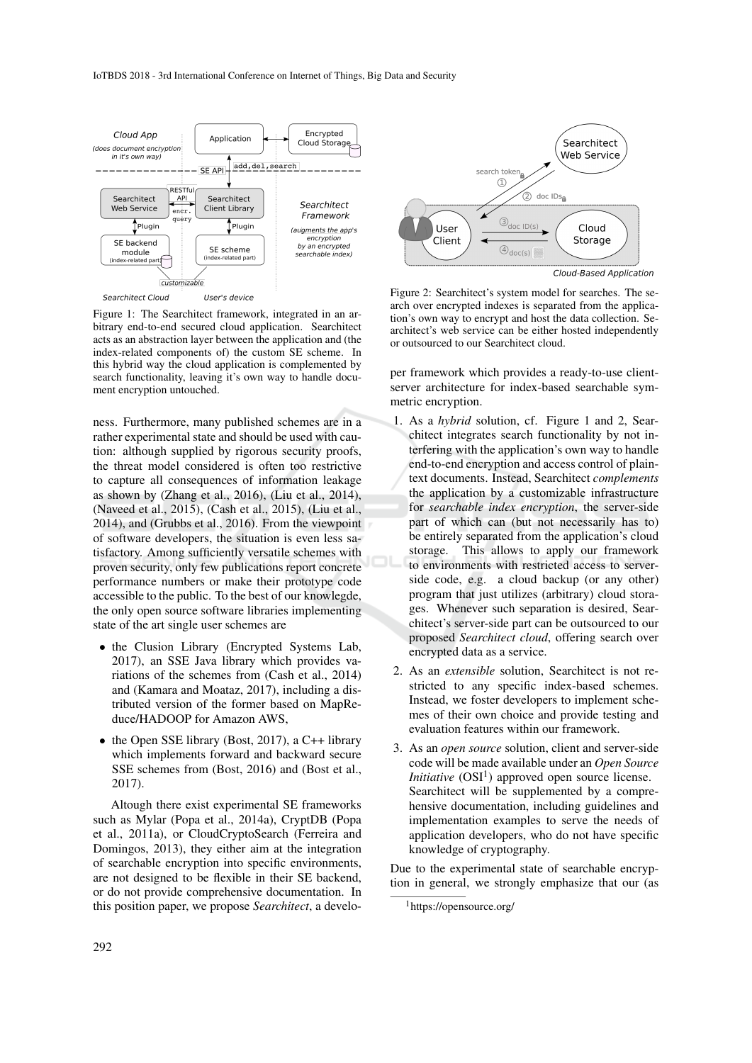

Figure 1: The Searchitect framework, integrated in an arbitrary end-to-end secured cloud application. Searchitect acts as an abstraction layer between the application and (the index-related components of) the custom SE scheme. In this hybrid way the cloud application is complemented by search functionality, leaving it's own way to handle document encryption untouched.

ness. Furthermore, many published schemes are in a rather experimental state and should be used with caution: although supplied by rigorous security proofs, the threat model considered is often too restrictive to capture all consequences of information leakage as shown by (Zhang et al., 2016), (Liu et al., 2014), (Naveed et al., 2015), (Cash et al., 2015), (Liu et al., 2014), and (Grubbs et al., 2016). From the viewpoint of software developers, the situation is even less satisfactory. Among sufficiently versatile schemes with proven security, only few publications report concrete performance numbers or make their prototype code accessible to the public. To the best of our knowlegde, the only open source software libraries implementing state of the art single user schemes are

- the Clusion Library (Encrypted Systems Lab, 2017), an SSE Java library which provides variations of the schemes from (Cash et al., 2014) and (Kamara and Moataz, 2017), including a distributed version of the former based on MapReduce/HADOOP for Amazon AWS,
- the Open SSE library (Bost, 2017), a C++ library which implements forward and backward secure SSE schemes from (Bost, 2016) and (Bost et al., 2017).

Altough there exist experimental SE frameworks such as Mylar (Popa et al., 2014a), CryptDB (Popa et al., 2011a), or CloudCryptoSearch (Ferreira and Domingos, 2013), they either aim at the integration of searchable encryption into specific environments, are not designed to be flexible in their SE backend, or do not provide comprehensive documentation. In this position paper, we propose *Searchitect*, a develo-



Figure 2: Searchitect's system model for searches. The search over encrypted indexes is separated from the application's own way to encrypt and host the data collection. Searchitect's web service can be either hosted independently or outsourced to our Searchitect cloud.

per framework which provides a ready-to-use clientserver architecture for index-based searchable symmetric encryption.

- 1. As a *hybrid* solution, cf. Figure 1 and 2, Searchitect integrates search functionality by not interfering with the application's own way to handle end-to-end encryption and access control of plaintext documents. Instead, Searchitect *complements* the application by a customizable infrastructure for *searchable index encryption*, the server-side part of which can (but not necessarily has to) be entirely separated from the application's cloud storage. This allows to apply our framework to environments with restricted access to serverside code, e.g. a cloud backup (or any other) program that just utilizes (arbitrary) cloud storages. Whenever such separation is desired, Searchitect's server-side part can be outsourced to our proposed *Searchitect cloud*, offering search over encrypted data as a service.
- 2. As an *extensible* solution, Searchitect is not restricted to any specific index-based schemes. Instead, we foster developers to implement schemes of their own choice and provide testing and evaluation features within our framework.
- 3. As an *open source* solution, client and server-side code will be made available under an *Open Source Initiative* ( $OSI<sup>1</sup>$ ) approved open source license. Searchitect will be supplemented by a comprehensive documentation, including guidelines and implementation examples to serve the needs of application developers, who do not have specific knowledge of cryptography.

Due to the experimental state of searchable encryption in general, we strongly emphasize that our (as

<sup>1</sup>https://opensource.org/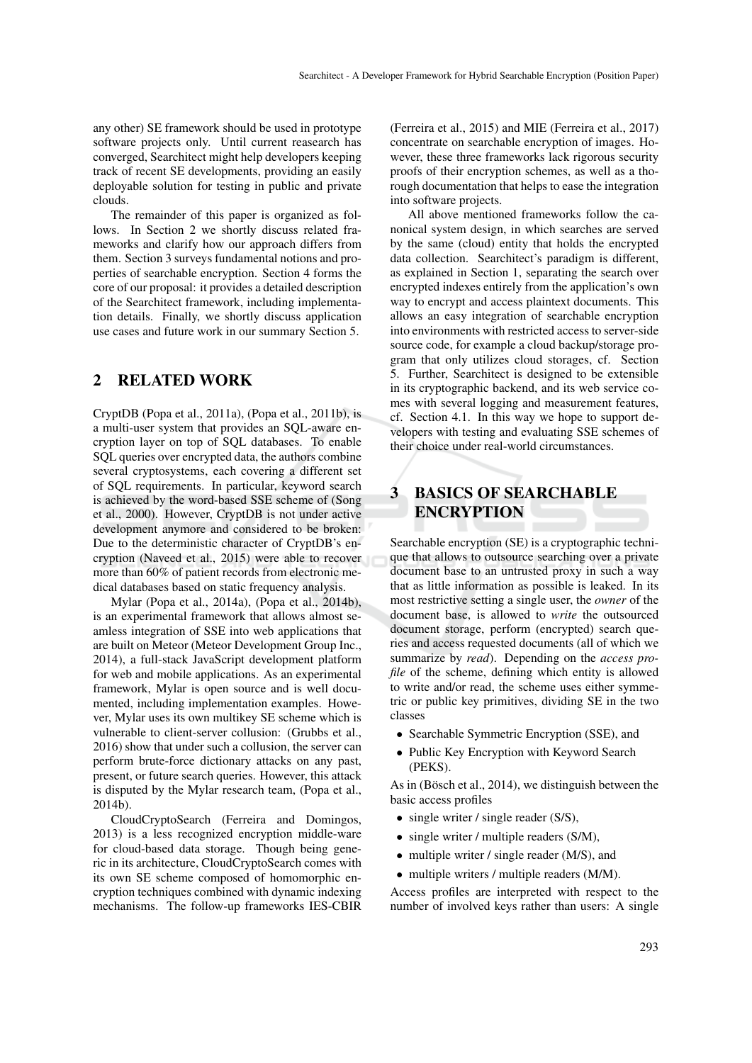any other) SE framework should be used in prototype software projects only. Until current reasearch has converged, Searchitect might help developers keeping track of recent SE developments, providing an easily deployable solution for testing in public and private clouds.

The remainder of this paper is organized as follows. In Section 2 we shortly discuss related frameworks and clarify how our approach differs from them. Section 3 surveys fundamental notions and properties of searchable encryption. Section 4 forms the core of our proposal: it provides a detailed description of the Searchitect framework, including implementation details. Finally, we shortly discuss application use cases and future work in our summary Section 5.

### 2 RELATED WORK

CryptDB (Popa et al., 2011a), (Popa et al., 2011b), is a multi-user system that provides an SQL-aware encryption layer on top of SQL databases. To enable SQL queries over encrypted data, the authors combine several cryptosystems, each covering a different set of SQL requirements. In particular, keyword search is achieved by the word-based SSE scheme of (Song et al., 2000). However, CryptDB is not under active development anymore and considered to be broken: Due to the deterministic character of CryptDB's encryption (Naveed et al., 2015) were able to recover more than 60% of patient records from electronic medical databases based on static frequency analysis.

Mylar (Popa et al., 2014a), (Popa et al., 2014b), is an experimental framework that allows almost seamless integration of SSE into web applications that are built on Meteor (Meteor Development Group Inc., 2014), a full-stack JavaScript development platform for web and mobile applications. As an experimental framework, Mylar is open source and is well documented, including implementation examples. However, Mylar uses its own multikey SE scheme which is vulnerable to client-server collusion: (Grubbs et al., 2016) show that under such a collusion, the server can perform brute-force dictionary attacks on any past, present, or future search queries. However, this attack is disputed by the Mylar research team, (Popa et al., 2014b).

CloudCryptoSearch (Ferreira and Domingos, 2013) is a less recognized encryption middle-ware for cloud-based data storage. Though being generic in its architecture, CloudCryptoSearch comes with its own SE scheme composed of homomorphic encryption techniques combined with dynamic indexing mechanisms. The follow-up frameworks IES-CBIR

(Ferreira et al., 2015) and MIE (Ferreira et al., 2017) concentrate on searchable encryption of images. However, these three frameworks lack rigorous security proofs of their encryption schemes, as well as a thorough documentation that helps to ease the integration into software projects.

All above mentioned frameworks follow the canonical system design, in which searches are served by the same (cloud) entity that holds the encrypted data collection. Searchitect's paradigm is different, as explained in Section 1, separating the search over encrypted indexes entirely from the application's own way to encrypt and access plaintext documents. This allows an easy integration of searchable encryption into environments with restricted access to server-side source code, for example a cloud backup/storage program that only utilizes cloud storages, cf. Section 5. Further, Searchitect is designed to be extensible in its cryptographic backend, and its web service comes with several logging and measurement features, cf. Section 4.1. In this way we hope to support developers with testing and evaluating SSE schemes of their choice under real-world circumstances.

## 3 BASICS OF SEARCHABLE ENCRYPTION

Searchable encryption (SE) is a cryptographic technique that allows to outsource searching over a private document base to an untrusted proxy in such a way that as little information as possible is leaked. In its most restrictive setting a single user, the *owner* of the document base, is allowed to *write* the outsourced document storage, perform (encrypted) search queries and access requested documents (all of which we summarize by *read*). Depending on the *access profile* of the scheme, defining which entity is allowed to write and/or read, the scheme uses either symmetric or public key primitives, dividing SE in the two classes

- Searchable Symmetric Encryption (SSE), and
- Public Key Encryption with Keyword Search (PEKS).

As in (Bösch et al.,  $2014$ ), we distinguish between the basic access profiles

- single writer / single reader (S/S),
- single writer / multiple readers (S/M),
- multiple writer / single reader (M/S), and
- multiple writers / multiple readers (M/M).

Access profiles are interpreted with respect to the number of involved keys rather than users: A single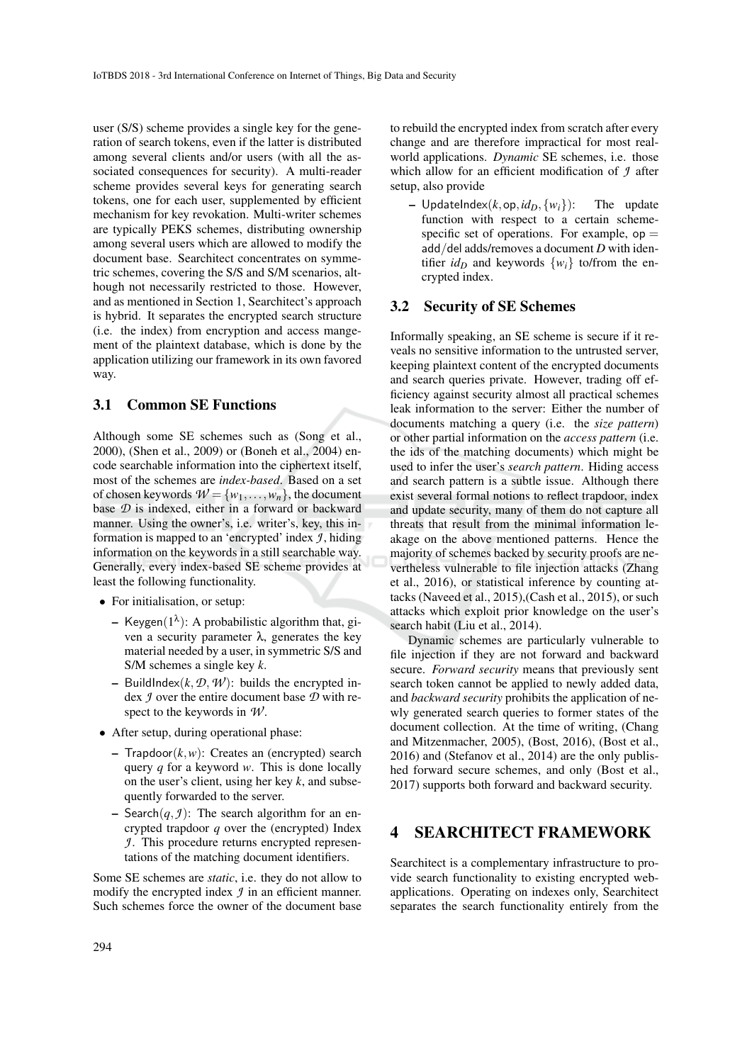user (S/S) scheme provides a single key for the generation of search tokens, even if the latter is distributed among several clients and/or users (with all the associated consequences for security). A multi-reader scheme provides several keys for generating search tokens, one for each user, supplemented by efficient mechanism for key revokation. Multi-writer schemes are typically PEKS schemes, distributing ownership among several users which are allowed to modify the document base. Searchitect concentrates on symmetric schemes, covering the S/S and S/M scenarios, although not necessarily restricted to those. However, and as mentioned in Section 1, Searchitect's approach is hybrid. It separates the encrypted search structure (i.e. the index) from encryption and access mangement of the plaintext database, which is done by the application utilizing our framework in its own favored way.

#### 3.1 Common SE Functions

Although some SE schemes such as (Song et al., 2000), (Shen et al., 2009) or (Boneh et al., 2004) encode searchable information into the ciphertext itself, most of the schemes are *index-based*. Based on a set of chosen keywords  $W = \{w_1, \ldots, w_n\}$ , the document base *D* is indexed, either in a forward or backward manner. Using the owner's, i.e. writer's, key, this information is mapped to an 'encrypted' index *J* , hiding information on the keywords in a still searchable way. Generally, every index-based SE scheme provides at least the following functionality.

- For initialisation, or setup:
	- Keygen $(1^{\lambda})$ : A probabilistic algorithm that, given a security parameter λ, generates the key material needed by a user, in symmetric S/S and S/M schemes a single key *k*.
	- BuildIndex $(k, \mathcal{D}, \mathcal{W})$ : builds the encrypted index *J* over the entire document base *D* with respect to the keywords in *W* .
- After setup, during operational phase:
	- $-$  Trapdoor $(k, w)$ : Creates an (encrypted) search query *q* for a keyword *w*. This is done locally on the user's client, using her key *k*, and subsequently forwarded to the server.
	- Search $(q, g)$ : The search algorithm for an encrypted trapdoor *q* over the (encrypted) Index *J*. This procedure returns encrypted representations of the matching document identifiers.

Some SE schemes are *static*, i.e. they do not allow to modify the encrypted index *J* in an efficient manner. Such schemes force the owner of the document base

to rebuild the encrypted index from scratch after every change and are therefore impractical for most realworld applications. *Dynamic* SE schemes, i.e. those which allow for an efficient modification of *J* after setup, also provide

 $-$  UpdateIndex( $k$ , op,  $id_D$ ,  $\{w_i\}$ ): The update function with respect to a certain schemespecific set of operations. For example,  $op =$ add/del adds/removes a document *D* with identifier  $id_D$  and keywords  $\{w_i\}$  to/from the encrypted index.

### 3.2 Security of SE Schemes

Informally speaking, an SE scheme is secure if it reveals no sensitive information to the untrusted server, keeping plaintext content of the encrypted documents and search queries private. However, trading off efficiency against security almost all practical schemes leak information to the server: Either the number of documents matching a query (i.e. the *size pattern*) or other partial information on the *access pattern* (i.e. the ids of the matching documents) which might be used to infer the user's *search pattern*. Hiding access and search pattern is a subtle issue. Although there exist several formal notions to reflect trapdoor, index and update security, many of them do not capture all threats that result from the minimal information leakage on the above mentioned patterns. Hence the majority of schemes backed by security proofs are nevertheless vulnerable to file injection attacks (Zhang et al., 2016), or statistical inference by counting attacks (Naveed et al., 2015),(Cash et al., 2015), or such attacks which exploit prior knowledge on the user's search habit (Liu et al., 2014).

Dynamic schemes are particularly vulnerable to file injection if they are not forward and backward secure. *Forward security* means that previously sent search token cannot be applied to newly added data, and *backward security* prohibits the application of newly generated search queries to former states of the document collection. At the time of writing, (Chang and Mitzenmacher, 2005), (Bost, 2016), (Bost et al., 2016) and (Stefanov et al., 2014) are the only published forward secure schemes, and only (Bost et al., 2017) supports both forward and backward security.

## 4 SEARCHITECT FRAMEWORK

Searchitect is a complementary infrastructure to provide search functionality to existing encrypted webapplications. Operating on indexes only, Searchitect separates the search functionality entirely from the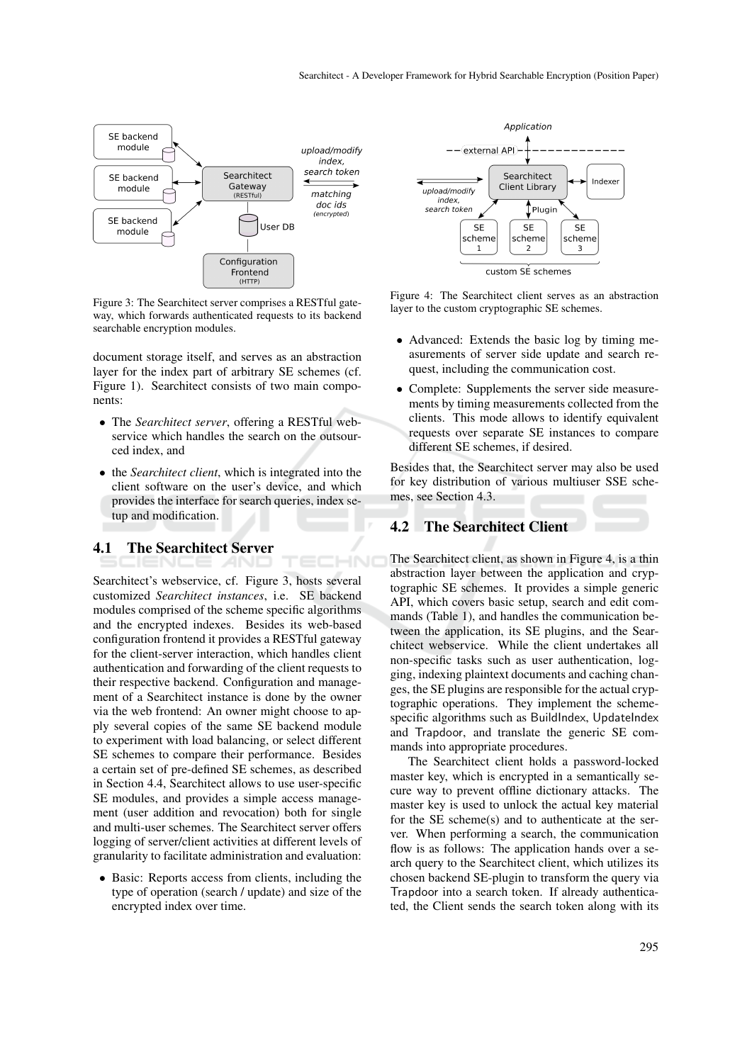

Figure 3: The Searchitect server comprises a RESTful gateway, which forwards authenticated requests to its backend searchable encryption modules.

document storage itself, and serves as an abstraction layer for the index part of arbitrary SE schemes (cf. Figure 1). Searchitect consists of two main components:

- The *Searchitect server*, offering a RESTful webservice which handles the search on the outsourced index, and
- the *Searchitect client*, which is integrated into the client software on the user's device, and which provides the interface for search queries, index setup and modification.

# 4.1 The Searchitect Server

Searchitect's webservice, cf. Figure 3, hosts several customized *Searchitect instances*, i.e. SE backend modules comprised of the scheme specific algorithms and the encrypted indexes. Besides its web-based configuration frontend it provides a RESTful gateway for the client-server interaction, which handles client authentication and forwarding of the client requests to their respective backend. Configuration and management of a Searchitect instance is done by the owner via the web frontend: An owner might choose to apply several copies of the same SE backend module to experiment with load balancing, or select different SE schemes to compare their performance. Besides a certain set of pre-defined SE schemes, as described in Section 4.4, Searchitect allows to use user-specific SE modules, and provides a simple access management (user addition and revocation) both for single and multi-user schemes. The Searchitect server offers logging of server/client activities at different levels of granularity to facilitate administration and evaluation:

• Basic: Reports access from clients, including the type of operation (search / update) and size of the encrypted index over time.



Figure 4: The Searchitect client serves as an abstraction layer to the custom cryptographic SE schemes.

- Advanced: Extends the basic log by timing measurements of server side update and search request, including the communication cost.
- Complete: Supplements the server side measurements by timing measurements collected from the clients. This mode allows to identify equivalent requests over separate SE instances to compare different SE schemes, if desired.

Besides that, the Searchitect server may also be used for key distribution of various multiuser SSE schemes, see Section 4.3.

### 4.2 The Searchitect Client

HNO

The Searchitect client, as shown in Figure 4, is a thin abstraction layer between the application and cryptographic SE schemes. It provides a simple generic API, which covers basic setup, search and edit commands (Table 1), and handles the communication between the application, its SE plugins, and the Searchitect webservice. While the client undertakes all non-specific tasks such as user authentication, logging, indexing plaintext documents and caching changes, the SE plugins are responsible for the actual cryptographic operations. They implement the schemespecific algorithms such as BuildIndex, UpdateIndex and Trapdoor, and translate the generic SE commands into appropriate procedures.

The Searchitect client holds a password-locked master key, which is encrypted in a semantically secure way to prevent offline dictionary attacks. The master key is used to unlock the actual key material for the SE scheme(s) and to authenticate at the server. When performing a search, the communication flow is as follows: The application hands over a search query to the Searchitect client, which utilizes its chosen backend SE-plugin to transform the query via Trapdoor into a search token. If already authenticated, the Client sends the search token along with its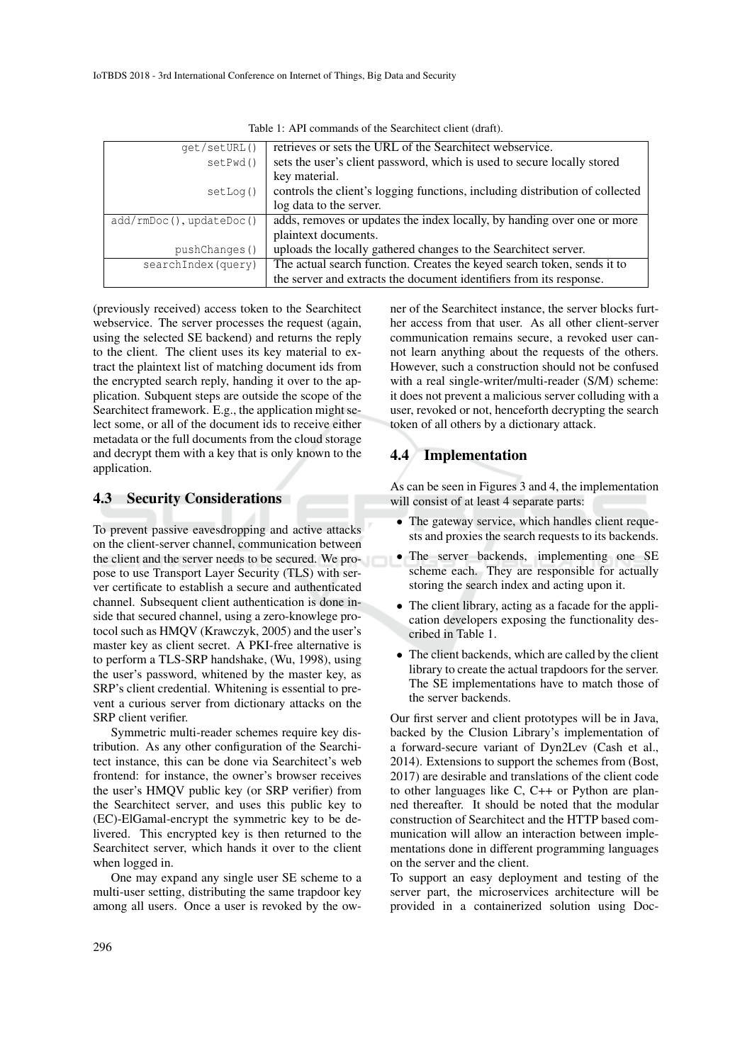| qet/setURL()                  | retrieves or sets the URL of the Searchitect webservice.                     |
|-------------------------------|------------------------------------------------------------------------------|
| setPwd()                      | sets the user's client password, which is used to secure locally stored      |
|                               | key material.                                                                |
| setLog()                      | controls the client's logging functions, including distribution of collected |
|                               | log data to the server.                                                      |
| $add/rmDoc()$ , $updateDoc()$ | adds, removes or updates the index locally, by handing over one or more      |
|                               | plaintext documents.                                                         |
| pushChanges()                 | uploads the locally gathered changes to the Searchitect server.              |
| searchIndex(query)            | The actual search function. Creates the keyed search token, sends it to      |
|                               | the server and extracts the document identifiers from its response.          |

Table 1: API commands of the Searchitect client (draft).

(previously received) access token to the Searchitect webservice. The server processes the request (again, using the selected SE backend) and returns the reply to the client. The client uses its key material to extract the plaintext list of matching document ids from the encrypted search reply, handing it over to the application. Subquent steps are outside the scope of the Searchitect framework. E.g., the application might select some, or all of the document ids to receive either metadata or the full documents from the cloud storage and decrypt them with a key that is only known to the application.

### 4.3 Security Considerations

To prevent passive eavesdropping and active attacks on the client-server channel, communication between the client and the server needs to be secured. We propose to use Transport Layer Security (TLS) with server certificate to establish a secure and authenticated channel. Subsequent client authentication is done inside that secured channel, using a zero-knowlege protocol such as HMQV (Krawczyk, 2005) and the user's master key as client secret. A PKI-free alternative is to perform a TLS-SRP handshake, (Wu, 1998), using the user's password, whitened by the master key, as SRP's client credential. Whitening is essential to prevent a curious server from dictionary attacks on the SRP client verifier.

Symmetric multi-reader schemes require key distribution. As any other configuration of the Searchitect instance, this can be done via Searchitect's web frontend: for instance, the owner's browser receives the user's HMQV public key (or SRP verifier) from the Searchitect server, and uses this public key to (EC)-ElGamal-encrypt the symmetric key to be delivered. This encrypted key is then returned to the Searchitect server, which hands it over to the client when logged in.

One may expand any single user SE scheme to a multi-user setting, distributing the same trapdoor key among all users. Once a user is revoked by the owner of the Searchitect instance, the server blocks further access from that user. As all other client-server communication remains secure, a revoked user cannot learn anything about the requests of the others. However, such a construction should not be confused with a real single-writer/multi-reader (S/M) scheme: it does not prevent a malicious server colluding with a user, revoked or not, henceforth decrypting the search token of all others by a dictionary attack.

### 4.4 Implementation

As can be seen in Figures 3 and 4, the implementation will consist of at least 4 separate parts:

- The gateway service, which handles client requests and proxies the search requests to its backends.
- The server backends, implementing one SE scheme each. They are responsible for actually storing the search index and acting upon it.
- The client library, acting as a facade for the application developers exposing the functionality described in Table 1.
- The client backends, which are called by the client library to create the actual trapdoors for the server. The SE implementations have to match those of the server backends.

Our first server and client prototypes will be in Java, backed by the Clusion Library's implementation of a forward-secure variant of Dyn2Lev (Cash et al., 2014). Extensions to support the schemes from (Bost, 2017) are desirable and translations of the client code to other languages like C, C++ or Python are planned thereafter. It should be noted that the modular construction of Searchitect and the HTTP based communication will allow an interaction between implementations done in different programming languages on the server and the client.

To support an easy deployment and testing of the server part, the microservices architecture will be provided in a containerized solution using Doc-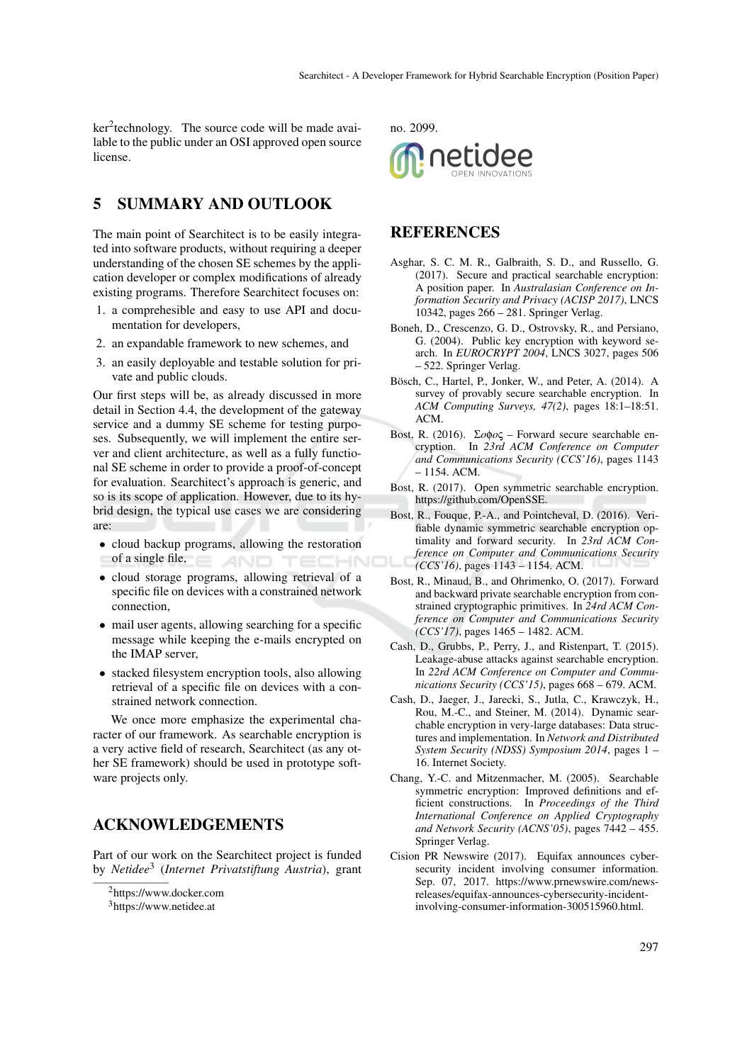ker<sup>2</sup>technology. The source code will be made available to the public under an OSI approved open source license.

## 5 SUMMARY AND OUTLOOK

The main point of Searchitect is to be easily integrated into software products, without requiring a deeper understanding of the chosen SE schemes by the application developer or complex modifications of already existing programs. Therefore Searchitect focuses on:

- 1. a comprehesible and easy to use API and documentation for developers,
- 2. an expandable framework to new schemes, and
- 3. an easily deployable and testable solution for private and public clouds.

Our first steps will be, as already discussed in more detail in Section 4.4, the development of the gateway service and a dummy SE scheme for testing purposes. Subsequently, we will implement the entire server and client architecture, as well as a fully functional SE scheme in order to provide a proof-of-concept for evaluation. Searchitect's approach is generic, and so is its scope of application. However, due to its hybrid design, the typical use cases we are considering are:

- cloud backup programs, allowing the restoration of a single file, TECHNOI
- cloud storage programs, allowing retrieval of a specific file on devices with a constrained network connection,
- mail user agents, allowing searching for a specific message while keeping the e-mails encrypted on the IMAP server,
- stacked filesystem encryption tools, also allowing retrieval of a specific file on devices with a constrained network connection.

We once more emphasize the experimental character of our framework. As searchable encryption is a very active field of research, Searchitect (as any other SE framework) should be used in prototype software projects only.

### ACKNOWLEDGEMENTS

Part of our work on the Searchitect project is funded by *Netidee*<sup>3</sup> (*Internet Privatstiftung Austria*), grant



## **REFERENCES**

- Asghar, S. C. M. R., Galbraith, S. D., and Russello, G. (2017). Secure and practical searchable encryption: A position paper. In *Australasian Conference on Information Security and Privacy (ACISP 2017)*, LNCS 10342, pages 266 – 281. Springer Verlag.
- Boneh, D., Crescenzo, G. D., Ostrovsky, R., and Persiano, G. (2004). Public key encryption with keyword search. In *EUROCRYPT 2004*, LNCS 3027, pages 506 – 522. Springer Verlag.
- Bösch, C., Hartel, P., Jonker, W., and Peter, A. (2014). A survey of provably secure searchable encryption. In *ACM Computing Surveys, 47(2)*, pages 18:1–18:51. ACM.
- Bost, R. (2016). Σ*o*φ*o*ς Forward secure searchable encryption. In *23rd ACM Conference on Computer and Communications Security (CCS'16)*, pages 1143 – 1154. ACM.
- Bost, R. (2017). Open symmetric searchable encryption. https://github.com/OpenSSE.
- Bost, R., Fouque, P.-A., and Pointcheval, D. (2016). Verifiable dynamic symmetric searchable encryption optimality and forward security. In *23rd ACM Conference on Computer and Communications Security (CCS'16)*, pages 1143 – 1154. ACM.
- Bost, R., Minaud, B., and Ohrimenko, O. (2017). Forward and backward private searchable encryption from constrained cryptographic primitives. In *24rd ACM Conference on Computer and Communications Security (CCS'17)*, pages 1465 – 1482. ACM.
- Cash, D., Grubbs, P., Perry, J., and Ristenpart, T. (2015). Leakage-abuse attacks against searchable encryption. In *22rd ACM Conference on Computer and Communications Security (CCS'15)*, pages 668 – 679. ACM.
- Cash, D., Jaeger, J., Jarecki, S., Jutla, C., Krawczyk, H., Rou, M.-C., and Steiner, M. (2014). Dynamic searchable encryption in very-large databases: Data structures and implementation. In *Network and Distributed System Security (NDSS) Symposium 2014*, pages 1 – 16. Internet Society.
- Chang, Y.-C. and Mitzenmacher, M. (2005). Searchable symmetric encryption: Improved definitions and efficient constructions. In *Proceedings of the Third International Conference on Applied Cryptography and Network Security (ACNS'05)*, pages 7442 – 455. Springer Verlag.
- Cision PR Newswire (2017). Equifax announces cybersecurity incident involving consumer information. Sep. 07, 2017. https://www.prnewswire.com/newsreleases/equifax-announces-cybersecurity-incidentinvolving-consumer-information-300515960.html.

<sup>2</sup>https://www.docker.com

<sup>3</sup>https://www.netidee.at